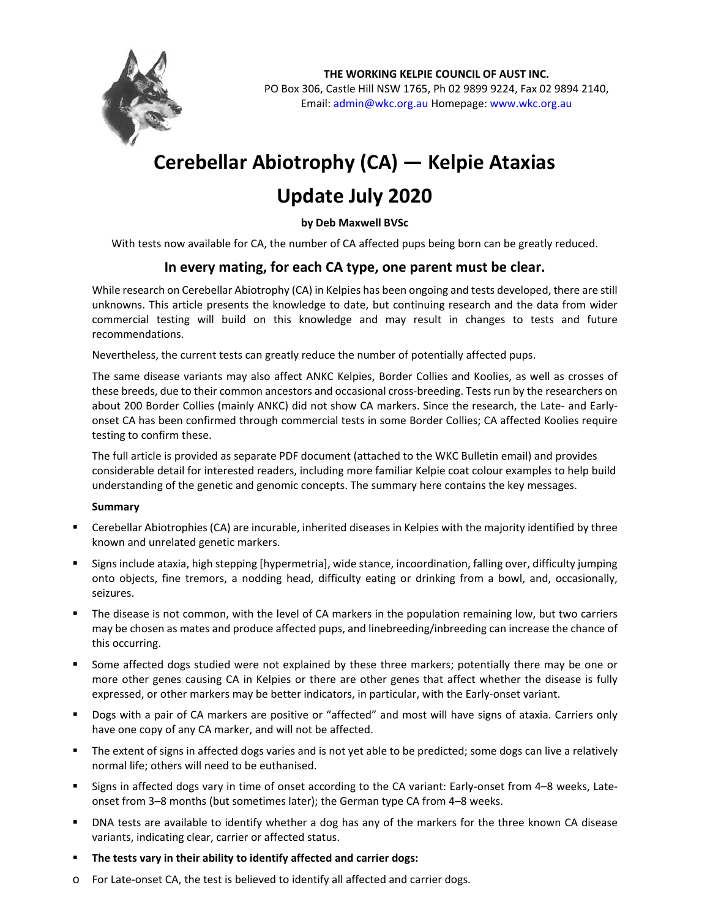

**THE WORKING KELPIE COUNCIL OF AUST INC.**  PO Box 306, Castle Hill NSW 1765, Ph 02 9899 9224, Fax 02 9894 2140, Email: admin@wkc.org.au Homepage: www.wkc.org.au

## **Cerebellar Abiotrophy (CA) — Kelpie Ataxias**

## **Update July 2020**

**by Deb Maxwell BVSc** 

With tests now available for CA, the number of CA affected pups being born can be greatly reduced.

## **In every mating, for each CA type, one parent must be clear.**

While research on Cerebellar Abiotrophy (CA) in Kelpies has been ongoing and tests developed, there are still unknowns. This article presents the knowledge to date, but continuing research and the data from wider commercial testing will build on this knowledge and may result in changes to tests and future recommendations.

Nevertheless, the current tests can greatly reduce the number of potentially affected pups.

The same disease variants may also affect ANKC Kelpies, Border Collies and Koolies, as well as crosses of these breeds, due to their common ancestors and occasional cross‐breeding. Tests run by the researchers on about 200 Border Collies (mainly ANKC) did not show CA markers. Since the research, the Late- and Earlyonset CA has been confirmed through commercial tests in some Border Collies; CA affected Koolies require testing to confirm these.

The full article is provided as separate PDF document (attached to the WKC Bulletin email) and provides considerable detail for interested readers, including more familiar Kelpie coat colour examples to help build understanding of the genetic and genomic concepts. The summary here contains the key messages.

## **Summary**

- Cerebellar Abiotrophies (CA) are incurable, inherited diseases in Kelpies with the majority identified by three known and unrelated genetic markers.
- Signs include ataxia, high stepping [hypermetria], wide stance, incoordination, falling over, difficulty jumping onto objects, fine tremors, a nodding head, difficulty eating or drinking from a bowl, and, occasionally, seizures.
- The disease is not common, with the level of CA markers in the population remaining low, but two carriers may be chosen as mates and produce affected pups, and linebreeding/inbreeding can increase the chance of this occurring.
- Some affected dogs studied were not explained by these three markers; potentially there may be one or more other genes causing CA in Kelpies or there are other genes that affect whether the disease is fully expressed, or other markers may be better indicators, in particular, with the Early-onset variant.
- Dogs with a pair of CA markers are positive or "affected" and most will have signs of ataxia. Carriers only have one copy of any CA marker, and will not be affected.
- The extent of signs in affected dogs varies and is not yet able to be predicted; some dogs can live a relatively normal life; others will need to be euthanised.
- Signs in affected dogs vary in time of onset according to the CA variant: Early-onset from 4–8 weeks, Lateonset from 3–8 months (but sometimes later); the German type CA from 4–8 weeks.
- DNA tests are available to identify whether a dog has any of the markers for the three known CA disease variants, indicating clear, carrier or affected status.
- **The tests vary in their ability to identify affected and carrier dogs:**
- o For Late‐onset CA, the test is believed to identify all affected and carrier dogs.